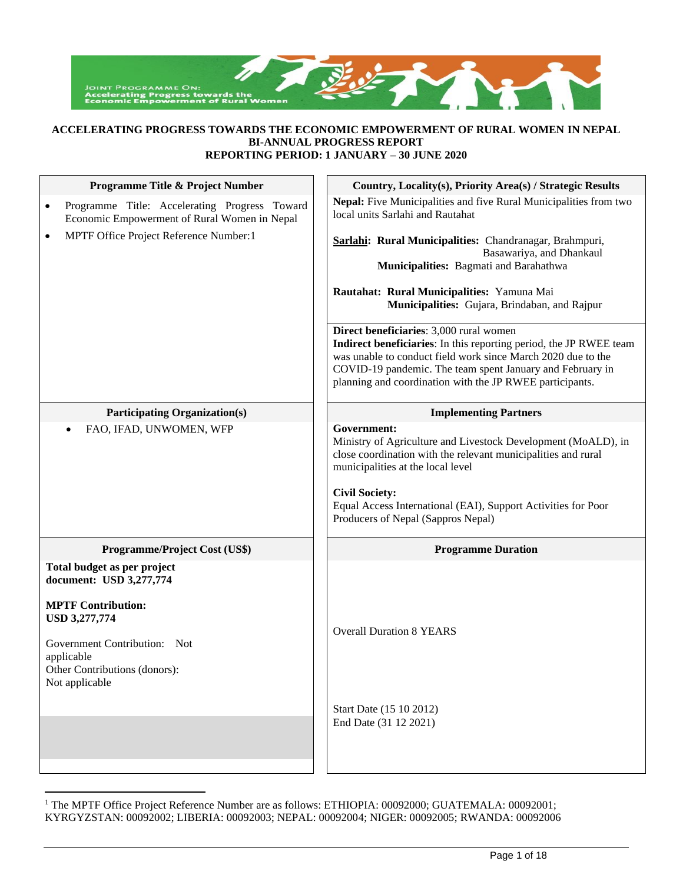

#### **ACCELERATING PROGRESS TOWARDS THE ECONOMIC EMPOWERMENT OF RURAL WOMEN IN NEPAL BI-ANNUAL PROGRESS REPORT REPORTING PERIOD: 1 JANUARY – 30 JUNE 2020**

| Programme Title & Project Number                                                                                      | Country, Locality(s), Priority Area(s) / Strategic Results                                                                                                                                                                                                                                                         |
|-----------------------------------------------------------------------------------------------------------------------|--------------------------------------------------------------------------------------------------------------------------------------------------------------------------------------------------------------------------------------------------------------------------------------------------------------------|
| Programme Title: Accelerating Progress Toward<br>٠<br>Economic Empowerment of Rural Women in Nepal                    | Nepal: Five Municipalities and five Rural Municipalities from two<br>local units Sarlahi and Rautahat                                                                                                                                                                                                              |
| MPTF Office Project Reference Number:1<br>$\bullet$                                                                   | Sarlahi: Rural Municipalities: Chandranagar, Brahmpuri,<br>Basawariya, and Dhankaul<br>Municipalities: Bagmati and Barahathwa<br>Rautahat: Rural Municipalities: Yamuna Mai<br>Municipalities: Gujara, Brindaban, and Rajpur                                                                                       |
|                                                                                                                       | Direct beneficiaries: 3,000 rural women<br>Indirect beneficiaries: In this reporting period, the JP RWEE team<br>was unable to conduct field work since March 2020 due to the<br>COVID-19 pandemic. The team spent January and February in<br>planning and coordination with the JP RWEE participants.             |
| <b>Participating Organization(s)</b>                                                                                  | <b>Implementing Partners</b>                                                                                                                                                                                                                                                                                       |
| FAO, IFAD, UNWOMEN, WFP<br>$\bullet$                                                                                  | Government:<br>Ministry of Agriculture and Livestock Development (MoALD), in<br>close coordination with the relevant municipalities and rural<br>municipalities at the local level<br><b>Civil Society:</b><br>Equal Access International (EAI), Support Activities for Poor<br>Producers of Nepal (Sappros Nepal) |
| <b>Programme/Project Cost (US\$)</b>                                                                                  | <b>Programme Duration</b>                                                                                                                                                                                                                                                                                          |
| Total budget as per project<br>document: USD 3,277,774<br><b>MPTF Contribution:</b>                                   |                                                                                                                                                                                                                                                                                                                    |
| <b>USD 3,277,774</b><br>Government Contribution: Not<br>applicable<br>Other Contributions (donors):<br>Not applicable | <b>Overall Duration 8 YEARS</b>                                                                                                                                                                                                                                                                                    |
|                                                                                                                       | Start Date (15 10 2012)<br>End Date (31 12 2021)                                                                                                                                                                                                                                                                   |

<sup>&</sup>lt;sup>1</sup> The MPTF Office Project Reference Number are as follows: ETHIOPIA: 00092000; GUATEMALA: 00092001; KYRGYZSTAN: 00092002; LIBERIA: 00092003; NEPAL: 00092004; NIGER: 00092005; RWANDA: 00092006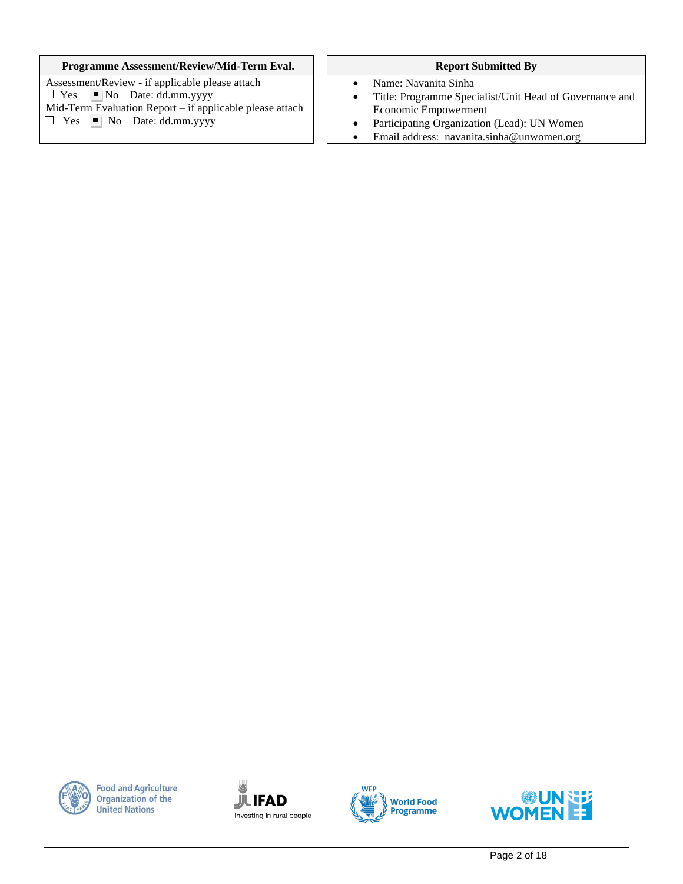#### **Programme Assessment/Review/Mid-Term Eval.** | | Report Submitted By

Assessment/Review - if applicable please attach  $\Box$  Yes  $\Box$  No Date: dd.mm.yyyy Mid-Term Evaluation Report – if applicable please attach  $\Box$  Yes  $\Box$  No Date: dd.mm.yyyy

- Name: Navanita Sinha
- Title: Programme Specialist/Unit Head of Governance and Economic Empowerment
- Participating Organization (Lead): UN Women
- Email address: [navanita.sinha@unwomen.org](mailto:%20navanita.sinha@unwomen.org)



**Food and Agriculture Organization of the United Nations** 





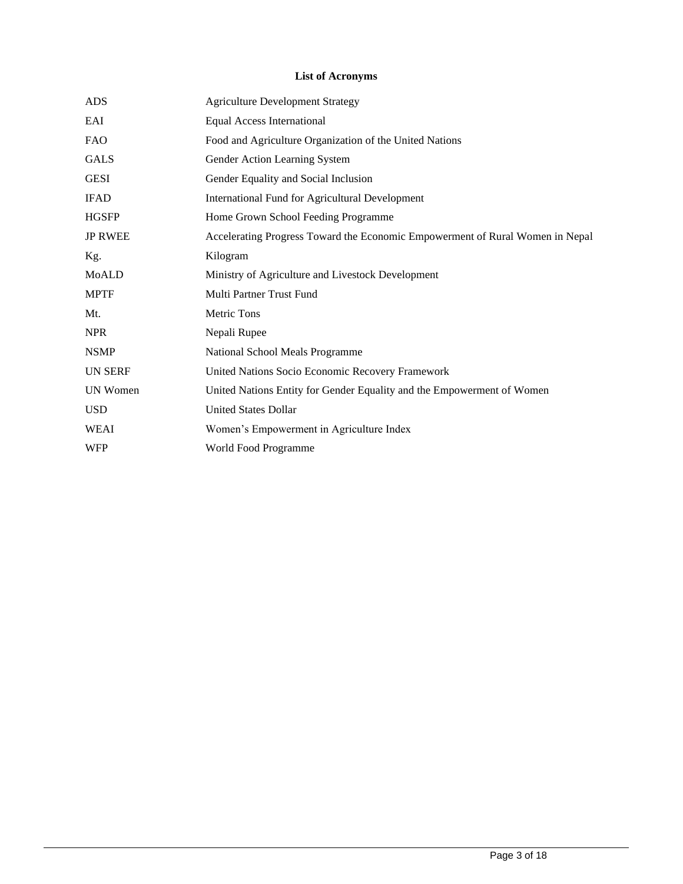# **List of Acronyms**

| <b>ADS</b>      | <b>Agriculture Development Strategy</b>                                       |
|-----------------|-------------------------------------------------------------------------------|
| EAI             | <b>Equal Access International</b>                                             |
| <b>FAO</b>      | Food and Agriculture Organization of the United Nations                       |
| <b>GALS</b>     | Gender Action Learning System                                                 |
| <b>GESI</b>     | Gender Equality and Social Inclusion                                          |
| <b>IFAD</b>     | <b>International Fund for Agricultural Development</b>                        |
| <b>HGSFP</b>    | Home Grown School Feeding Programme                                           |
| <b>JP RWEE</b>  | Accelerating Progress Toward the Economic Empowerment of Rural Women in Nepal |
| Kg.             | Kilogram                                                                      |
| MoALD           | Ministry of Agriculture and Livestock Development                             |
| <b>MPTF</b>     | Multi Partner Trust Fund                                                      |
| Mt.             | Metric Tons                                                                   |
| <b>NPR</b>      | Nepali Rupee                                                                  |
| <b>NSMP</b>     | National School Meals Programme                                               |
| <b>UN SERF</b>  | United Nations Socio Economic Recovery Framework                              |
| <b>UN Women</b> | United Nations Entity for Gender Equality and the Empowerment of Women        |
| <b>USD</b>      | <b>United States Dollar</b>                                                   |
| <b>WEAI</b>     | Women's Empowerment in Agriculture Index                                      |
| <b>WFP</b>      | World Food Programme                                                          |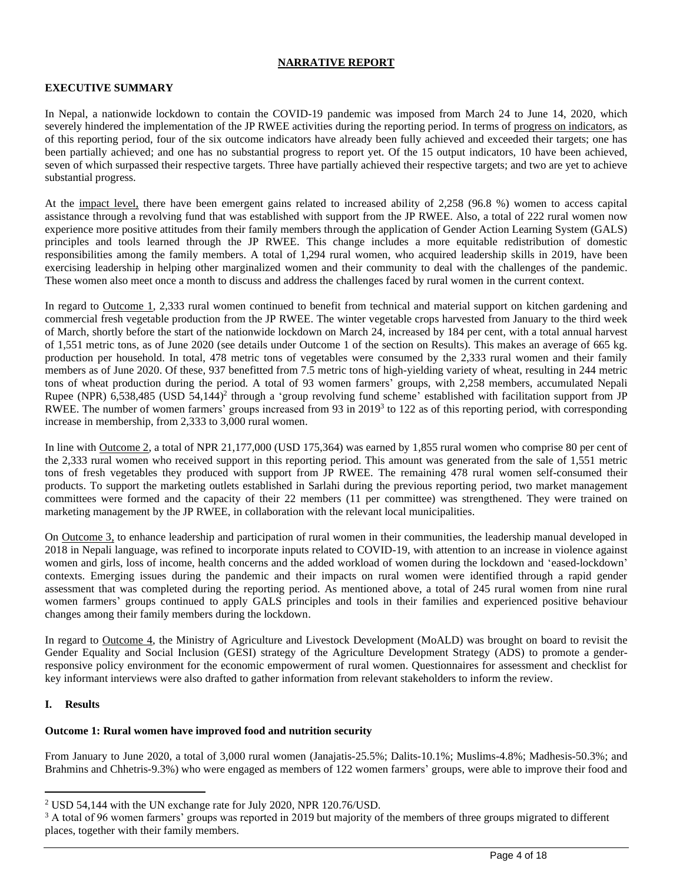### **NARRATIVE REPORT**

### **EXECUTIVE SUMMARY**

In Nepal, a nationwide lockdown to contain the COVID-19 pandemic was imposed from March 24 to June 14, 2020, which severely hindered the implementation of the JP RWEE activities during the reporting period. In terms of progress on indicators, as of this reporting period, four of the six outcome indicators have already been fully achieved and exceeded their targets; one has been partially achieved; and one has no substantial progress to report yet. Of the 15 output indicators, 10 have been achieved, seven of which surpassed their respective targets. Three have partially achieved their respective targets; and two are yet to achieve substantial progress.

At the impact level, there have been emergent gains related to increased ability of 2,258 (96.8 %) women to access capital assistance through a revolving fund that was established with support from the JP RWEE. Also, a total of 222 rural women now experience more positive attitudes from their family members through the application of Gender Action Learning System (GALS) principles and tools learned through the JP RWEE. This change includes a more equitable redistribution of domestic responsibilities among the family members. A total of 1,294 rural women, who acquired leadership skills in 2019, have been exercising leadership in helping other marginalized women and their community to deal with the challenges of the pandemic. These women also meet once a month to discuss and address the challenges faced by rural women in the current context.

In regard to Outcome 1, 2,333 rural women continued to benefit from technical and material support on kitchen gardening and commercial fresh vegetable production from the JP RWEE. The winter vegetable crops harvested from January to the third week of March, shortly before the start of the nationwide lockdown on March 24, increased by 184 per cent, with a total annual harvest of 1,551 metric tons, as of June 2020 (see details under Outcome 1 of the section on Results). This makes an average of 665 kg. production per household. In total, 478 metric tons of vegetables were consumed by the 2,333 rural women and their family members as of June 2020. Of these, 937 benefitted from 7.5 metric tons of high-yielding variety of wheat, resulting in 244 metric tons of wheat production during the period. A total of 93 women farmers' groups, with 2,258 members, accumulated Nepali Rupee (NPR) 6,538,485 (USD 54,144)<sup>2</sup> through a 'group revolving fund scheme' established with facilitation support from JP RWEE. The number of women farmers' groups increased from 93 in  $2019<sup>3</sup>$  to 122 as of this reporting period, with corresponding increase in membership, from 2,333 to 3,000 rural women.

In line with Outcome 2, a total of NPR 21,177,000 (USD 175,364) was earned by 1,855 rural women who comprise 80 per cent of the 2,333 rural women who received support in this reporting period. This amount was generated from the sale of 1,551 metric tons of fresh vegetables they produced with support from JP RWEE. The remaining 478 rural women self-consumed their products. To support the marketing outlets established in Sarlahi during the previous reporting period, two market management committees were formed and the capacity of their 22 members (11 per committee) was strengthened. They were trained on marketing management by the JP RWEE, in collaboration with the relevant local municipalities.

On Outcome 3, to enhance leadership and participation of rural women in their communities, the leadership manual developed in 2018 in Nepali language, was refined to incorporate inputs related to COVID-19, with attention to an increase in violence against women and girls, loss of income, health concerns and the added workload of women during the lockdown and 'eased-lockdown' contexts. Emerging issues during the pandemic and their impacts on rural women were identified through a rapid gender assessment that was completed during the reporting period. As mentioned above, a total of 245 rural women from nine rural women farmers' groups continued to apply GALS principles and tools in their families and experienced positive behaviour changes among their family members during the lockdown.

In regard to Outcome 4, the Ministry of Agriculture and Livestock Development (MoALD) was brought on board to revisit the Gender Equality and Social Inclusion (GESI) strategy of the Agriculture Development Strategy (ADS) to promote a genderresponsive policy environment for the economic empowerment of rural women. Questionnaires for assessment and checklist for key informant interviews were also drafted to gather information from relevant stakeholders to inform the review.

#### **I. Results**

#### **Outcome 1: Rural women have improved food and nutrition security**

From January to June 2020, a total of 3,000 rural women (Janajatis-25.5%; Dalits-10.1%; Muslims-4.8%; Madhesis-50.3%; and Brahmins and Chhetris-9.3%) who were engaged as members of 122 women farmers' groups, were able to improve their food and

<sup>2</sup> USD 54,144 with the UN exchange rate for July 2020, NPR 120.76/USD.

 $3$  A total of 96 women farmers' groups was reported in 2019 but majority of the members of three groups migrated to different places, together with their family members.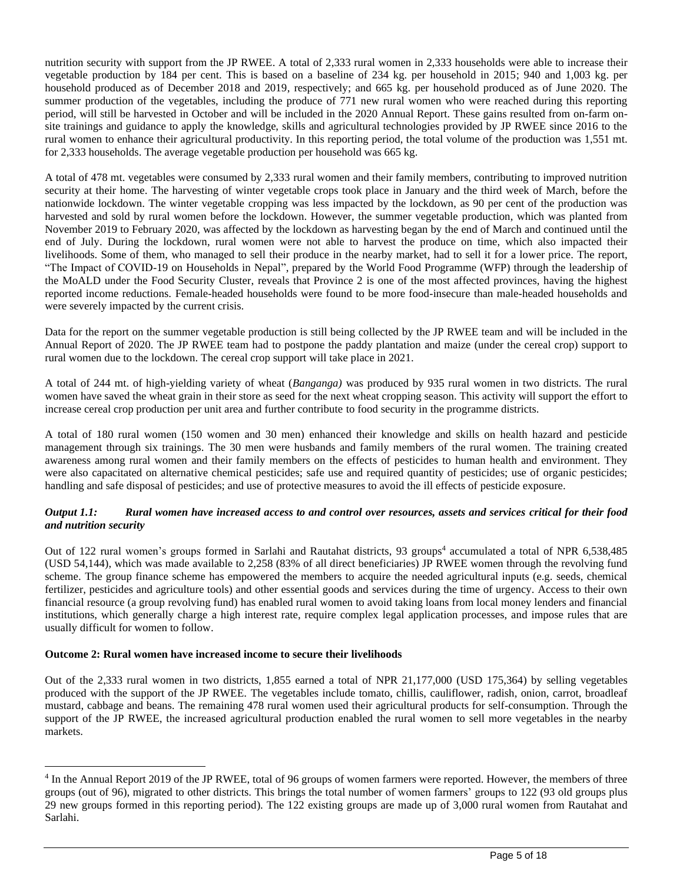nutrition security with support from the JP RWEE. A total of 2,333 rural women in 2,333 households were able to increase their vegetable production by 184 per cent. This is based on a baseline of 234 kg. per household in 2015; 940 and 1,003 kg. per household produced as of December 2018 and 2019, respectively; and 665 kg. per household produced as of June 2020. The summer production of the vegetables, including the produce of 771 new rural women who were reached during this reporting period, will still be harvested in October and will be included in the 2020 Annual Report. These gains resulted from on-farm onsite trainings and guidance to apply the knowledge, skills and agricultural technologies provided by JP RWEE since 2016 to the rural women to enhance their agricultural productivity. In this reporting period, the total volume of the production was 1,551 mt. for 2,333 households. The average vegetable production per household was 665 kg.

A total of 478 mt. vegetables were consumed by 2,333 rural women and their family members, contributing to improved nutrition security at their home. The harvesting of winter vegetable crops took place in January and the third week of March, before the nationwide lockdown. The winter vegetable cropping was less impacted by the lockdown, as 90 per cent of the production was harvested and sold by rural women before the lockdown. However, the summer vegetable production, which was planted from November 2019 to February 2020, was affected by the lockdown as harvesting began by the end of March and continued until the end of July. During the lockdown, rural women were not able to harvest the produce on time, which also impacted their livelihoods. Some of them, who managed to sell their produce in the nearby market, had to sell it for a lower price. The report, "The Impact of COVID-19 on Households in Nepal", prepared by the World Food Programme (WFP) through the leadership of the MoALD under the Food Security Cluster, reveals that Province 2 is one of the most affected provinces, having the highest reported income reductions. Female-headed households were found to be more food-insecure than male-headed households and were severely impacted by the current crisis.

Data for the report on the summer vegetable production is still being collected by the JP RWEE team and will be included in the Annual Report of 2020. The JP RWEE team had to postpone the paddy plantation and maize (under the cereal crop) support to rural women due to the lockdown. The cereal crop support will take place in 2021.

A total of 244 mt. of high-yielding variety of wheat (*Banganga)* was produced by 935 rural women in two districts. The rural women have saved the wheat grain in their store as seed for the next wheat cropping season. This activity will support the effort to increase cereal crop production per unit area and further contribute to food security in the programme districts.

A total of 180 rural women (150 women and 30 men) enhanced their knowledge and skills on health hazard and pesticide management through six trainings. The 30 men were husbands and family members of the rural women. The training created awareness among rural women and their family members on the effects of pesticides to human health and environment. They were also capacitated on alternative chemical pesticides; safe use and required quantity of pesticides; use of organic pesticides; handling and safe disposal of pesticides; and use of protective measures to avoid the ill effects of pesticide exposure.

#### *Output 1.1: Rural women have increased access to and control over resources, assets and services critical for their food and nutrition security*

Out of 122 rural women's groups formed in Sarlahi and Rautahat districts, 93 groups<sup>4</sup> accumulated a total of NPR 6,538,485 (USD 54,144), which was made available to 2,258 (83% of all direct beneficiaries) JP RWEE women through the revolving fund scheme. The group finance scheme has empowered the members to acquire the needed agricultural inputs (e.g. seeds, chemical fertilizer, pesticides and agriculture tools) and other essential goods and services during the time of urgency. Access to their own financial resource (a group revolving fund) has enabled rural women to avoid taking loans from local money lenders and financial institutions, which generally charge a high interest rate, require complex legal application processes, and impose rules that are usually difficult for women to follow.

#### **Outcome 2: Rural women have increased income to secure their livelihoods**

Out of the 2,333 rural women in two districts, 1,855 earned a total of NPR 21,177,000 (USD 175,364) by selling vegetables produced with the support of the JP RWEE. The vegetables include tomato, chillis, cauliflower, radish, onion, carrot, broadleaf mustard, cabbage and beans. The remaining 478 rural women used their agricultural products for self-consumption. Through the support of the JP RWEE, the increased agricultural production enabled the rural women to sell more vegetables in the nearby markets.

<sup>&</sup>lt;sup>4</sup> In the Annual Report 2019 of the JP RWEE, total of 96 groups of women farmers were reported. However, the members of three groups (out of 96), migrated to other districts. This brings the total number of women farmers' groups to 122 (93 old groups plus 29 new groups formed in this reporting period). The 122 existing groups are made up of 3,000 rural women from Rautahat and Sarlahi.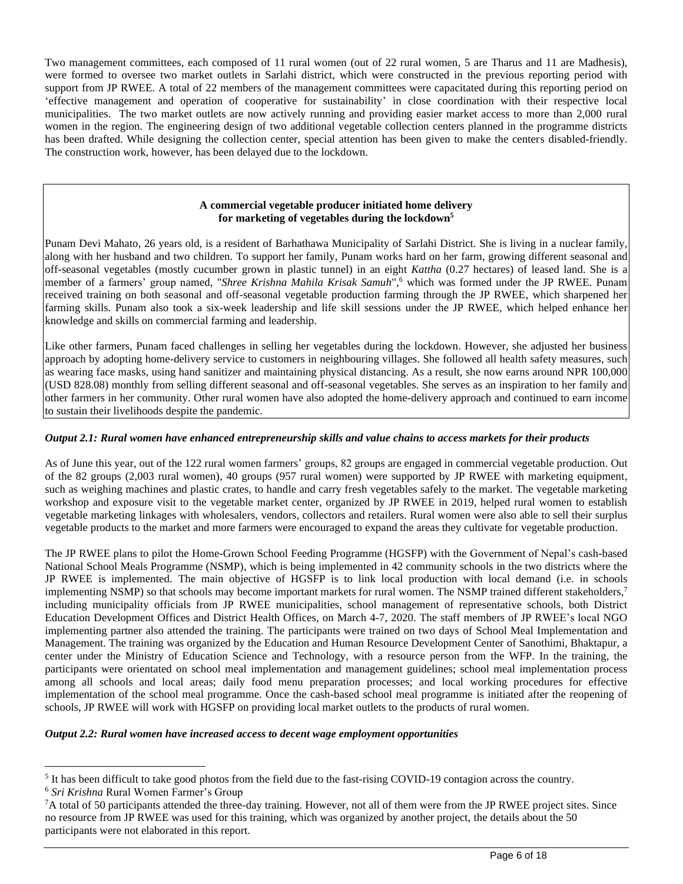Two management committees, each composed of 11 rural women (out of 22 rural women, 5 are Tharus and 11 are Madhesis), were formed to oversee two market outlets in Sarlahi district, which were constructed in the previous reporting period with support from JP RWEE. A total of 22 members of the management committees were capacitated during this reporting period on 'effective management and operation of cooperative for sustainability' in close coordination with their respective local municipalities. The two market outlets are now actively running and providing easier market access to more than 2,000 rural women in the region. The engineering design of two additional vegetable collection centers planned in the programme districts has been drafted. While designing the collection center, special attention has been given to make the centers disabled-friendly. The construction work, however, has been delayed due to the lockdown.

# **A commercial vegetable producer initiated home delivery for marketing of vegetables during the lockdown<sup>5</sup>**

Punam Devi Mahato, 26 years old, is a resident of Barhathawa Municipality of Sarlahi District. She is living in a nuclear family, along with her husband and two children. To support her family, Punam works hard on her farm, growing different seasonal and off-seasonal vegetables (mostly cucumber grown in plastic tunnel) in an eight *Kattha* (0.27 hectares) of leased land. She is a member of a farmers' group named, "*Shree Krishna Mahila Krisak Samuh*", <sup>6</sup> which was formed under the JP RWEE. Punam received training on both seasonal and off-seasonal vegetable production farming through the JP RWEE, which sharpened her farming skills. Punam also took a six-week leadership and life skill sessions under the JP RWEE, which helped enhance her knowledge and skills on commercial farming and leadership.

Like other farmers, Punam faced challenges in selling her vegetables during the lockdown. However, she adjusted her business approach by adopting home-delivery service to customers in neighbouring villages. She followed all health safety measures, such as wearing face masks, using hand sanitizer and maintaining physical distancing. As a result, she now earns around NPR 100,000 (USD 828.08) monthly from selling different seasonal and off-seasonal vegetables. She serves as an inspiration to her family and other farmers in her community. Other rural women have also adopted the home-delivery approach and continued to earn income to sustain their livelihoods despite the pandemic.

# *Output 2.1: Rural women have enhanced entrepreneurship skills and value chains to access markets for their products*

As of June this year, out of the 122 rural women farmers' groups, 82 groups are engaged in commercial vegetable production. Out of the 82 groups (2,003 rural women), 40 groups (957 rural women) were supported by JP RWEE with marketing equipment, such as weighing machines and plastic crates, to handle and carry fresh vegetables safely to the market. The vegetable marketing workshop and exposure visit to the vegetable market center, organized by JP RWEE in 2019, helped rural women to establish vegetable marketing linkages with wholesalers, vendors, collectors and retailers. Rural women were also able to sell their surplus vegetable products to the market and more farmers were encouraged to expand the areas they cultivate for vegetable production.

The JP RWEE plans to pilot the Home-Grown School Feeding Programme (HGSFP) with the Government of Nepal's cash-based National School Meals Programme (NSMP), which is being implemented in 42 community schools in the two districts where the JP RWEE is implemented. The main objective of HGSFP is to link local production with local demand (i.e. in schools implementing NSMP) so that schools may become important markets for rural women. The NSMP trained different stakeholders, 7 including municipality officials from JP RWEE municipalities, school management of representative schools, both District Education Development Offices and District Health Offices, on March 4-7, 2020. The staff members of JP RWEE's local NGO implementing partner also attended the training. The participants were trained on two days of School Meal Implementation and Management. The training was organized by the Education and Human Resource Development Center of Sanothimi, Bhaktapur, a center under the Ministry of Education Science and Technology, with a resource person from the WFP. In the training, the participants were orientated on school meal implementation and management guidelines; school meal implementation process among all schools and local areas; daily food menu preparation processes; and local working procedures for effective implementation of the school meal programme. Once the cash-based school meal programme is initiated after the reopening of schools, JP RWEE will work with HGSFP on providing local market outlets to the products of rural women.

#### *Output 2.2: Rural women have increased access to decent wage employment opportunities*

<sup>&</sup>lt;sup>5</sup> It has been difficult to take good photos from the field due to the fast-rising COVID-19 contagion across the country. <sup>6</sup> *Sri Krishna* Rural Women Farmer's Group

 ${}^{7}$ A total of 50 participants attended the three-day training. However, not all of them were from the JP RWEE project sites. Since no resource from JP RWEE was used for this training, which was organized by another project, the details about the 50 participants were not elaborated in this report.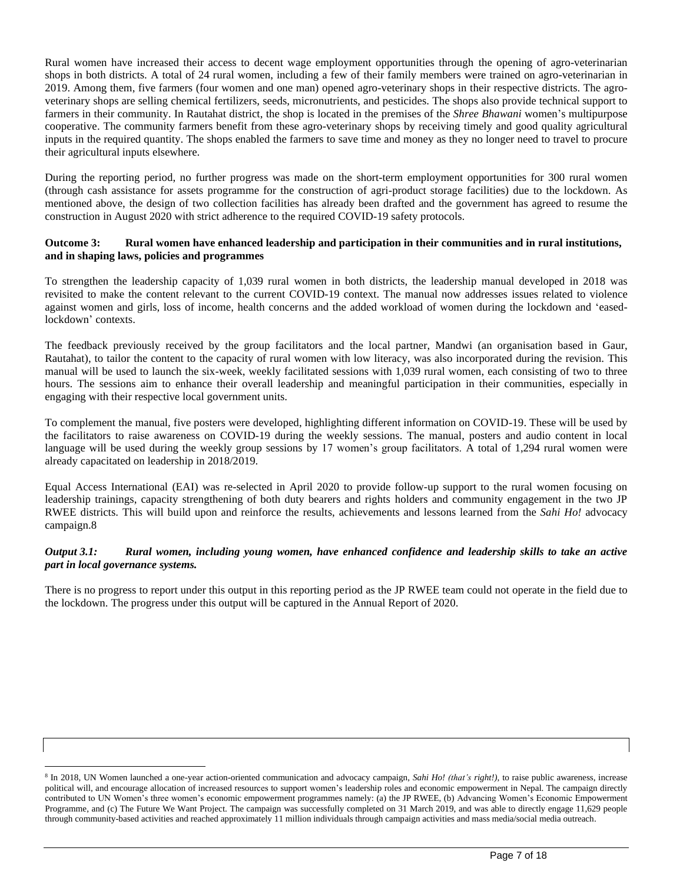Rural women have increased their access to decent wage employment opportunities through the opening of agro-veterinarian shops in both districts. A total of 24 rural women, including a few of their family members were trained on agro-veterinarian in 2019. Among them, five farmers (four women and one man) opened agro-veterinary shops in their respective districts. The agroveterinary shops are selling chemical fertilizers, seeds, micronutrients, and pesticides. The shops also provide technical support to farmers in their community. In Rautahat district, the shop is located in the premises of the *Shree Bhawani* women's multipurpose cooperative. The community farmers benefit from these agro-veterinary shops by receiving timely and good quality agricultural inputs in the required quantity. The shops enabled the farmers to save time and money as they no longer need to travel to procure their agricultural inputs elsewhere.

During the reporting period, no further progress was made on the short-term employment opportunities for 300 rural women (through cash assistance for assets programme for the construction of agri-product storage facilities) due to the lockdown. As mentioned above, the design of two collection facilities has already been drafted and the government has agreed to resume the construction in August 2020 with strict adherence to the required COVID-19 safety protocols.

### **Outcome 3: Rural women have enhanced leadership and participation in their communities and in rural institutions, and in shaping laws, policies and programmes**

To strengthen the leadership capacity of 1,039 rural women in both districts, the leadership manual developed in 2018 was revisited to make the content relevant to the current COVID-19 context. The manual now addresses issues related to violence against women and girls, loss of income, health concerns and the added workload of women during the lockdown and 'easedlockdown' contexts.

The feedback previously received by the group facilitators and the local partner, Mandwi (an organisation based in Gaur, Rautahat), to tailor the content to the capacity of rural women with low literacy, was also incorporated during the revision. This manual will be used to launch the six-week, weekly facilitated sessions with 1,039 rural women, each consisting of two to three hours. The sessions aim to enhance their overall leadership and meaningful participation in their communities, especially in engaging with their respective local government units.

To complement the manual, five posters were developed, highlighting different information on COVID-19. These will be used by the facilitators to raise awareness on COVID-19 during the weekly sessions. The manual, posters and audio content in local language will be used during the weekly group sessions by 17 women's group facilitators. A total of 1,294 rural women were already capacitated on leadership in 2018/2019.

Equal Access International (EAI) was re-selected in April 2020 to provide follow-up support to the rural women focusing on leadership trainings, capacity strengthening of both duty bearers and rights holders and community engagement in the two JP RWEE districts. This will build upon and reinforce the results, achievements and lessons learned from the *Sahi Ho!* advocacy campaign.8

# *Output 3.1: Rural women, including young women, have enhanced confidence and leadership skills to take an active part in local governance systems.*

There is no progress to report under this output in this reporting period as the JP RWEE team could not operate in the field due to the lockdown. The progress under this output will be captured in the Annual Report of 2020.

<sup>8</sup> In 2018, UN Women launched a one-year action-oriented communication and advocacy campaign, *Sahi Ho! (that's right!),* to raise public awareness, increase political will, and encourage allocation of increased resources to support women's leadership roles and economic empowerment in Nepal. The campaign directly contributed to UN Women's three women's economic empowerment programmes namely: (a) the JP RWEE, (b) Advancing Women's Economic Empowerment Programme, and (c) The Future We Want Project. The campaign was successfully completed on 31 March 2019, and was able to directly engage 11,629 people through community-based activities and reached approximately 11 million individuals through campaign activities and mass media/social media outreach.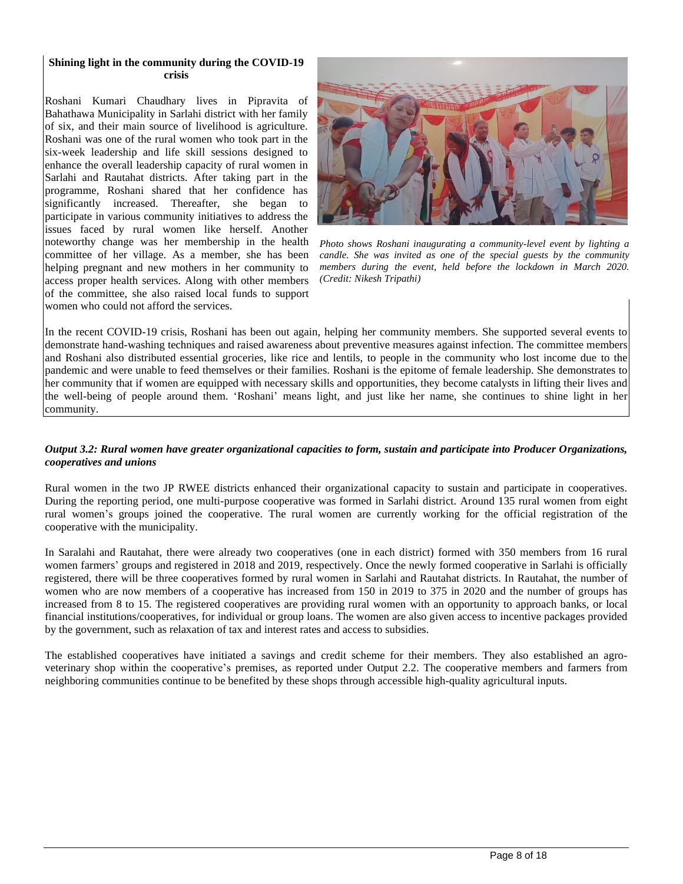#### **Shining light in the community during the COVID-19 crisis**

Roshani Kumari Chaudhary lives in Pipravita of Bahathawa Municipality in Sarlahi district with her family of six, and their main source of livelihood is agriculture. Roshani was one of the rural women who took part in the six-week leadership and life skill sessions designed to enhance the overall leadership capacity of rural women in Sarlahi and Rautahat districts. After taking part in the programme, Roshani shared that her confidence has significantly increased. Thereafter, she began to participate in various community initiatives to address the issues faced by rural women like herself. Another noteworthy change was her membership in the health committee of her village. As a member, she has been helping pregnant and new mothers in her community to access proper health services. Along with other members of the committee, she also raised local funds to support women who could not afford the services.



*Photo shows Roshani inaugurating a community-level event by lighting a candle. She was invited as one of the special guests by the community members during the event, held before the lockdown in March 2020. (Credit: Nikesh Tripathi)*

In the recent COVID-19 crisis, Roshani has been out again, helping her community members. She supported several events to demonstrate hand-washing techniques and raised awareness about preventive measures against infection. The committee members and Roshani also distributed essential groceries, like rice and lentils, to people in the community who lost income due to the pandemic and were unable to feed themselves or their families. Roshani is the epitome of female leadership. She demonstrates to her community that if women are equipped with necessary skills and opportunities, they become catalysts in lifting their lives and the well-being of people around them. 'Roshani' means light, and just like her name, she continues to shine light in her community.

#### *Output 3.2: Rural women have greater organizational capacities to form, sustain and participate into Producer Organizations, cooperatives and unions*

Rural women in the two JP RWEE districts enhanced their organizational capacity to sustain and participate in cooperatives. During the reporting period, one multi-purpose cooperative was formed in Sarlahi district. Around 135 rural women from eight rural women's groups joined the cooperative. The rural women are currently working for the official registration of the cooperative with the municipality.

In Saralahi and Rautahat, there were already two cooperatives (one in each district) formed with 350 members from 16 rural women farmers' groups and registered in 2018 and 2019, respectively. Once the newly formed cooperative in Sarlahi is officially registered, there will be three cooperatives formed by rural women in Sarlahi and Rautahat districts. In Rautahat, the number of women who are now members of a cooperative has increased from 150 in 2019 to 375 in 2020 and the number of groups has increased from 8 to 15. The registered cooperatives are providing rural women with an opportunity to approach banks, or local financial institutions/cooperatives, for individual or group loans. The women are also given access to incentive packages provided by the government, such as relaxation of tax and interest rates and access to subsidies.

The established cooperatives have initiated a savings and credit scheme for their members. They also established an agroveterinary shop within the cooperative's premises, as reported under Output 2.2. The cooperative members and farmers from neighboring communities continue to be benefited by these shops through accessible high-quality agricultural inputs.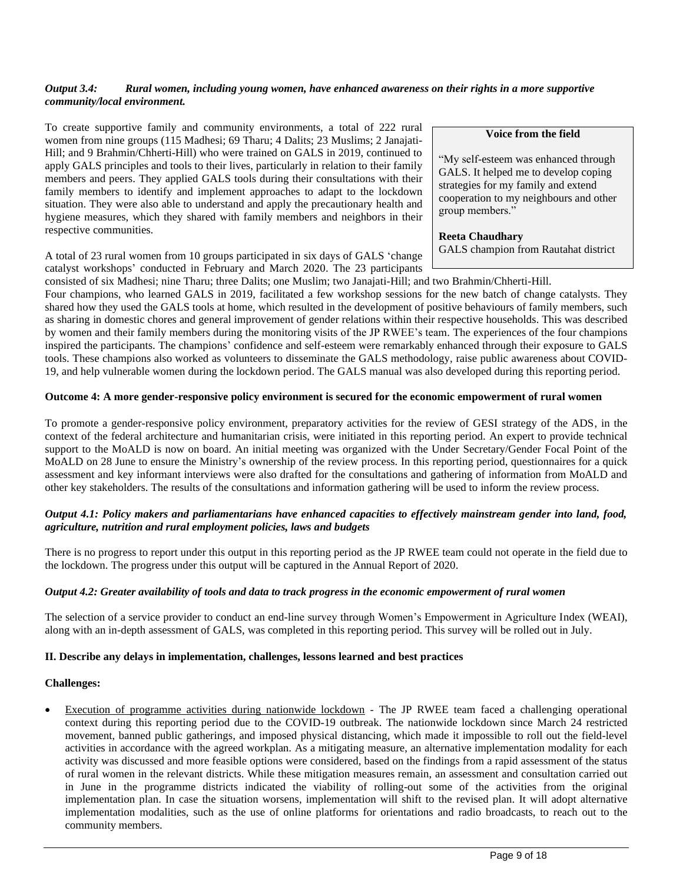# *Output 3.4: Rural women, including young women, have enhanced awareness on their rights in a more supportive community/local environment.*

To create supportive family and community environments, a total of 222 rural women from nine groups (115 Madhesi; 69 Tharu; 4 Dalits; 23 Muslims; 2 Janajati-Hill; and 9 Brahmin/Chherti-Hill) who were trained on GALS in 2019, continued to apply GALS principles and tools to their lives, particularly in relation to their family members and peers. They applied GALS tools during their consultations with their family members to identify and implement approaches to adapt to the lockdown situation. They were also able to understand and apply the precautionary health and hygiene measures, which they shared with family members and neighbors in their respective communities.

A total of 23 rural women from 10 groups participated in six days of GALS 'change catalyst workshops' conducted in February and March 2020. The 23 participants **Voice from the field**

"My self-esteem was enhanced through GALS. It helped me to develop coping strategies for my family and extend cooperation to my neighbours and other group members."

**Reeta Chaudhary** GALS champion from Rautahat district

consisted of six Madhesi; nine Tharu; three Dalits; one Muslim; two Janajati-Hill; and two Brahmin/Chherti-Hill. Four champions, who learned GALS in 2019, facilitated a few workshop sessions for the new batch of change catalysts. They shared how they used the GALS tools at home, which resulted in the development of positive behaviours of family members, such as sharing in domestic chores and general improvement of gender relations within their respective households. This was described by women and their family members during the monitoring visits of the JP RWEE's team. The experiences of the four champions inspired the participants. The champions' confidence and self-esteem were remarkably enhanced through their exposure to GALS tools. These champions also worked as volunteers to disseminate the GALS methodology, raise public awareness about COVID-19, and help vulnerable women during the lockdown period. The GALS manual was also developed during this reporting period.

### **Outcome 4: A more gender-responsive policy environment is secured for the economic empowerment of rural women**

To promote a gender-responsive policy environment, preparatory activities for the review of GESI strategy of the ADS, in the context of the federal architecture and humanitarian crisis, were initiated in this reporting period. An expert to provide technical support to the MoALD is now on board. An initial meeting was organized with the Under Secretary/Gender Focal Point of the MoALD on 28 June to ensure the Ministry's ownership of the review process. In this reporting period, questionnaires for a quick assessment and key informant interviews were also drafted for the consultations and gathering of information from MoALD and other key stakeholders. The results of the consultations and information gathering will be used to inform the review process.

### *Output 4.1: Policy makers and parliamentarians have enhanced capacities to effectively mainstream gender into land, food, agriculture, nutrition and rural employment policies, laws and budgets*

There is no progress to report under this output in this reporting period as the JP RWEE team could not operate in the field due to the lockdown. The progress under this output will be captured in the Annual Report of 2020.

#### *Output 4.2: Greater availability of tools and data to track progress in the economic empowerment of rural women*

The selection of a service provider to conduct an end-line survey through Women's Empowerment in Agriculture Index (WEAI), along with an in-depth assessment of GALS, was completed in this reporting period. This survey will be rolled out in July.

#### **II. Describe any delays in implementation, challenges, lessons learned and best practices**

#### **Challenges:**

Execution of programme activities during nationwide lockdown - The JP RWEE team faced a challenging operational context during this reporting period due to the COVID-19 outbreak. The nationwide lockdown since March 24 restricted movement, banned public gatherings, and imposed physical distancing, which made it impossible to roll out the field-level activities in accordance with the agreed workplan. As a mitigating measure, an alternative implementation modality for each activity was discussed and more feasible options were considered, based on the findings from a rapid assessment of the status of rural women in the relevant districts. While these mitigation measures remain, an assessment and consultation carried out in June in the programme districts indicated the viability of rolling-out some of the activities from the original implementation plan. In case the situation worsens, implementation will shift to the revised plan. It will adopt alternative implementation modalities, such as the use of online platforms for orientations and radio broadcasts, to reach out to the community members.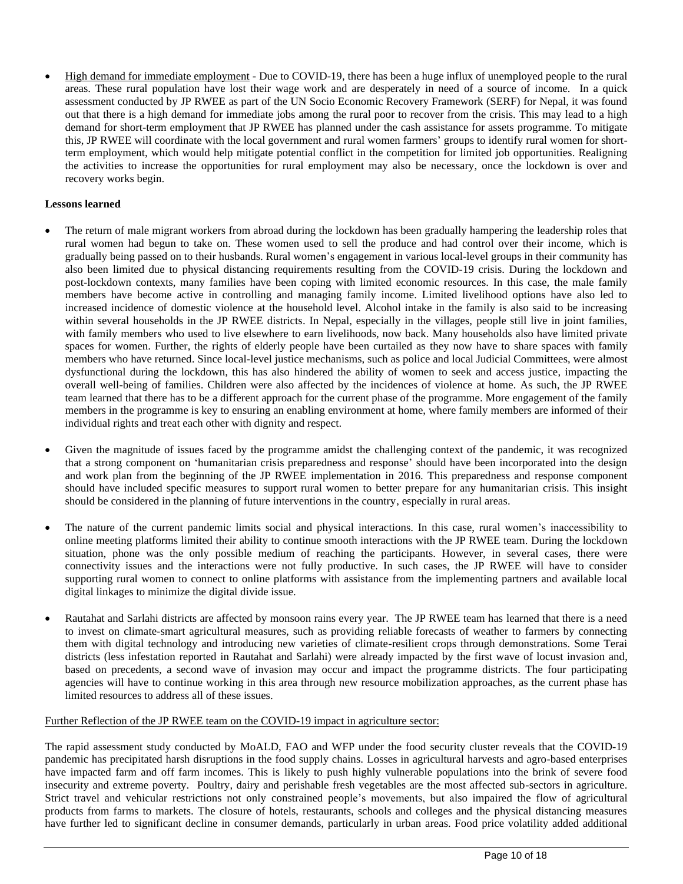• High demand for immediate employment - Due to COVID-19, there has been a huge influx of unemployed people to the rural areas. These rural population have lost their wage work and are desperately in need of a source of income. In a quick assessment conducted by JP RWEE as part of the UN Socio Economic Recovery Framework (SERF) for Nepal, it was found out that there is a high demand for immediate jobs among the rural poor to recover from the crisis. This may lead to a high demand for short-term employment that JP RWEE has planned under the cash assistance for assets programme. To mitigate this, JP RWEE will coordinate with the local government and rural women farmers' groups to identify rural women for shortterm employment, which would help mitigate potential conflict in the competition for limited job opportunities. Realigning the activities to increase the opportunities for rural employment may also be necessary, once the lockdown is over and recovery works begin.

# **Lessons learned**

- The return of male migrant workers from abroad during the lockdown has been gradually hampering the leadership roles that rural women had begun to take on. These women used to sell the produce and had control over their income, which is gradually being passed on to their husbands. Rural women's engagement in various local-level groups in their community has also been limited due to physical distancing requirements resulting from the COVID-19 crisis. During the lockdown and post-lockdown contexts, many families have been coping with limited economic resources. In this case, the male family members have become active in controlling and managing family income. Limited livelihood options have also led to increased incidence of domestic violence at the household level. Alcohol intake in the family is also said to be increasing within several households in the JP RWEE districts. In Nepal, especially in the villages, people still live in joint families, with family members who used to live elsewhere to earn livelihoods, now back. Many households also have limited private spaces for women. Further, the rights of elderly people have been curtailed as they now have to share spaces with family members who have returned. Since local-level justice mechanisms, such as police and local Judicial Committees, were almost dysfunctional during the lockdown, this has also hindered the ability of women to seek and access justice, impacting the overall well-being of families. Children were also affected by the incidences of violence at home. As such, the JP RWEE team learned that there has to be a different approach for the current phase of the programme. More engagement of the family members in the programme is key to ensuring an enabling environment at home, where family members are informed of their individual rights and treat each other with dignity and respect.
- Given the magnitude of issues faced by the programme amidst the challenging context of the pandemic, it was recognized that a strong component on 'humanitarian crisis preparedness and response' should have been incorporated into the design and work plan from the beginning of the JP RWEE implementation in 2016. This preparedness and response component should have included specific measures to support rural women to better prepare for any humanitarian crisis. This insight should be considered in the planning of future interventions in the country, especially in rural areas.
- The nature of the current pandemic limits social and physical interactions. In this case, rural women's inaccessibility to online meeting platforms limited their ability to continue smooth interactions with the JP RWEE team. During the lockdown situation, phone was the only possible medium of reaching the participants. However, in several cases, there were connectivity issues and the interactions were not fully productive. In such cases, the JP RWEE will have to consider supporting rural women to connect to online platforms with assistance from the implementing partners and available local digital linkages to minimize the digital divide issue.
- Rautahat and Sarlahi districts are affected by monsoon rains every year. The JP RWEE team has learned that there is a need to invest on climate-smart agricultural measures, such as providing reliable forecasts of weather to farmers by connecting them with digital technology and introducing new varieties of climate-resilient crops through demonstrations. Some Terai districts (less infestation reported in Rautahat and Sarlahi) were already impacted by the first wave of locust invasion and, based on precedents, a second wave of invasion may occur and impact the programme districts. The four participating agencies will have to continue working in this area through new resource mobilization approaches, as the current phase has limited resources to address all of these issues.

#### Further Reflection of the JP RWEE team on the COVID-19 impact in agriculture sector:

The rapid assessment study conducted by MoALD, FAO and WFP under the food security cluster reveals that the COVID-19 pandemic has precipitated harsh disruptions in the food supply chains. Losses in agricultural harvests and agro-based enterprises have impacted farm and off farm incomes. This is likely to push highly vulnerable populations into the brink of severe food insecurity and extreme poverty. Poultry, dairy and perishable fresh vegetables are the most affected sub-sectors in agriculture. Strict travel and vehicular restrictions not only constrained people's movements, but also impaired the flow of agricultural products from farms to markets. The closure of hotels, restaurants, schools and colleges and the physical distancing measures have further led to significant decline in consumer demands, particularly in urban areas. Food price volatility added additional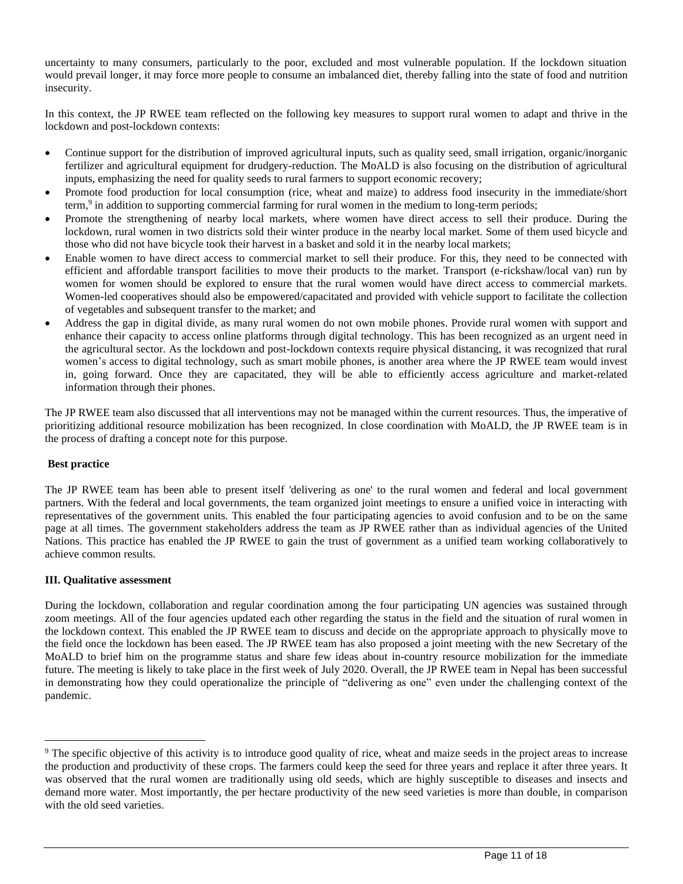uncertainty to many consumers, particularly to the poor, excluded and most vulnerable population. If the lockdown situation would prevail longer, it may force more people to consume an imbalanced diet, thereby falling into the state of food and nutrition insecurity.

In this context, the JP RWEE team reflected on the following key measures to support rural women to adapt and thrive in the lockdown and post-lockdown contexts:

- Continue support for the distribution of improved agricultural inputs, such as quality seed, small irrigation, organic/inorganic fertilizer and agricultural equipment for drudgery-reduction. The MoALD is also focusing on the distribution of agricultural inputs, emphasizing the need for quality seeds to rural farmers to support economic recovery;
- Promote food production for local consumption (rice, wheat and maize) to address food insecurity in the immediate/short term,<sup>9</sup> in addition to supporting commercial farming for rural women in the medium to long-term periods;
- Promote the strengthening of nearby local markets, where women have direct access to sell their produce. During the lockdown, rural women in two districts sold their winter produce in the nearby local market. Some of them used bicycle and those who did not have bicycle took their harvest in a basket and sold it in the nearby local markets;
- Enable women to have direct access to commercial market to sell their produce. For this, they need to be connected with efficient and affordable transport facilities to move their products to the market. Transport (e-rickshaw/local van) run by women for women should be explored to ensure that the rural women would have direct access to commercial markets. Women-led cooperatives should also be empowered/capacitated and provided with vehicle support to facilitate the collection of vegetables and subsequent transfer to the market; and
- Address the gap in digital divide, as many rural women do not own mobile phones. Provide rural women with support and enhance their capacity to access online platforms through digital technology. This has been recognized as an urgent need in the agricultural sector. As the lockdown and post-lockdown contexts require physical distancing, it was recognized that rural women's access to digital technology, such as smart mobile phones, is another area where the JP RWEE team would invest in, going forward. Once they are capacitated, they will be able to efficiently access agriculture and market-related information through their phones.

The JP RWEE team also discussed that all interventions may not be managed within the current resources. Thus, the imperative of prioritizing additional resource mobilization has been recognized. In close coordination with MoALD, the JP RWEE team is in the process of drafting a concept note for this purpose.

#### **Best practice**

The JP RWEE team has been able to present itself 'delivering as one' to the rural women and federal and local government partners. With the federal and local governments, the team organized joint meetings to ensure a unified voice in interacting with representatives of the government units. This enabled the four participating agencies to avoid confusion and to be on the same page at all times. The government stakeholders address the team as JP RWEE rather than as individual agencies of the United Nations. This practice has enabled the JP RWEE to gain the trust of government as a unified team working collaboratively to achieve common results.

#### **III. Qualitative assessment**

During the lockdown, collaboration and regular coordination among the four participating UN agencies was sustained through zoom meetings. All of the four agencies updated each other regarding the status in the field and the situation of rural women in the lockdown context. This enabled the JP RWEE team to discuss and decide on the appropriate approach to physically move to the field once the lockdown has been eased. The JP RWEE team has also proposed a joint meeting with the new Secretary of the MoALD to brief him on the programme status and share few ideas about in-country resource mobilization for the immediate future. The meeting is likely to take place in the first week of July 2020. Overall, the JP RWEE team in Nepal has been successful in demonstrating how they could operationalize the principle of "delivering as one" even under the challenging context of the pandemic.

<sup>&</sup>lt;sup>9</sup> The specific objective of this activity is to introduce good quality of rice, wheat and maize seeds in the project areas to increase the production and productivity of these crops. The farmers could keep the seed for three years and replace it after three years. It was observed that the rural women are traditionally using old seeds, which are highly susceptible to diseases and insects and demand more water. Most importantly, the per hectare productivity of the new seed varieties is more than double, in comparison with the old seed varieties.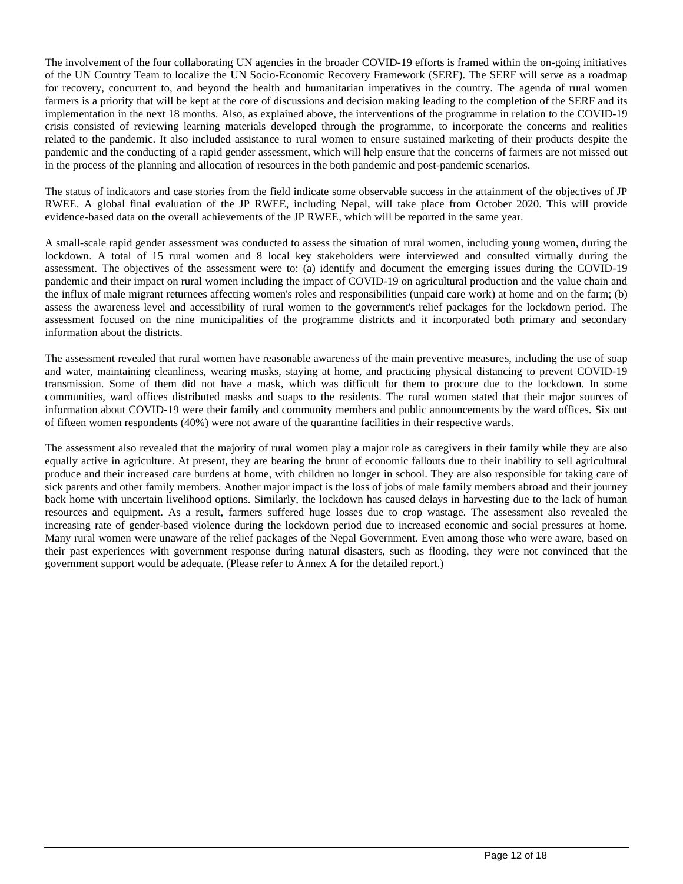The involvement of the four collaborating UN agencies in the broader COVID-19 efforts is framed within the on-going initiatives of the UN Country Team to localize the UN Socio-Economic Recovery Framework (SERF). The SERF will serve as a roadmap for recovery, concurrent to, and beyond the health and humanitarian imperatives in the country. The agenda of rural women farmers is a priority that will be kept at the core of discussions and decision making leading to the completion of the SERF and its implementation in the next 18 months. Also, as explained above, the interventions of the programme in relation to the COVID-19 crisis consisted of reviewing learning materials developed through the programme, to incorporate the concerns and realities related to the pandemic. It also included assistance to rural women to ensure sustained marketing of their products despite the pandemic and the conducting of a rapid gender assessment, which will help ensure that the concerns of farmers are not missed out in the process of the planning and allocation of resources in the both pandemic and post-pandemic scenarios.

The status of indicators and case stories from the field indicate some observable success in the attainment of the objectives of JP RWEE. A global final evaluation of the JP RWEE, including Nepal, will take place from October 2020. This will provide evidence-based data on the overall achievements of the JP RWEE, which will be reported in the same year.

A small-scale rapid gender assessment was conducted to assess the situation of rural women, including young women, during the lockdown. A total of 15 rural women and 8 local key stakeholders were interviewed and consulted virtually during the assessment. The objectives of the assessment were to: (a) identify and document the emerging issues during the COVID-19 pandemic and their impact on rural women including the impact of COVID-19 on agricultural production and the value chain and the influx of male migrant returnees affecting women's roles and responsibilities (unpaid care work) at home and on the farm; (b) assess the awareness level and accessibility of rural women to the government's relief packages for the lockdown period. The assessment focused on the nine municipalities of the programme districts and it incorporated both primary and secondary information about the districts.

The assessment revealed that rural women have reasonable awareness of the main preventive measures, including the use of soap and water, maintaining cleanliness, wearing masks, staying at home, and practicing physical distancing to prevent COVID-19 transmission. Some of them did not have a mask, which was difficult for them to procure due to the lockdown. In some communities, ward offices distributed masks and soaps to the residents. The rural women stated that their major sources of information about COVID-19 were their family and community members and public announcements by the ward offices. Six out of fifteen women respondents (40%) were not aware of the quarantine facilities in their respective wards.

The assessment also revealed that the majority of rural women play a major role as caregivers in their family while they are also equally active in agriculture. At present, they are bearing the brunt of economic fallouts due to their inability to sell agricultural produce and their increased care burdens at home, with children no longer in school. They are also responsible for taking care of sick parents and other family members. Another major impact is the loss of jobs of male family members abroad and their journey back home with uncertain livelihood options. Similarly, the lockdown has caused delays in harvesting due to the lack of human resources and equipment. As a result, farmers suffered huge losses due to crop wastage. The assessment also revealed the increasing rate of gender-based violence during the lockdown period due to increased economic and social pressures at home. Many rural women were unaware of the relief packages of the Nepal Government. Even among those who were aware, based on their past experiences with government response during natural disasters, such as flooding, they were not convinced that the government support would be adequate. (Please refer to Annex A for the detailed report.)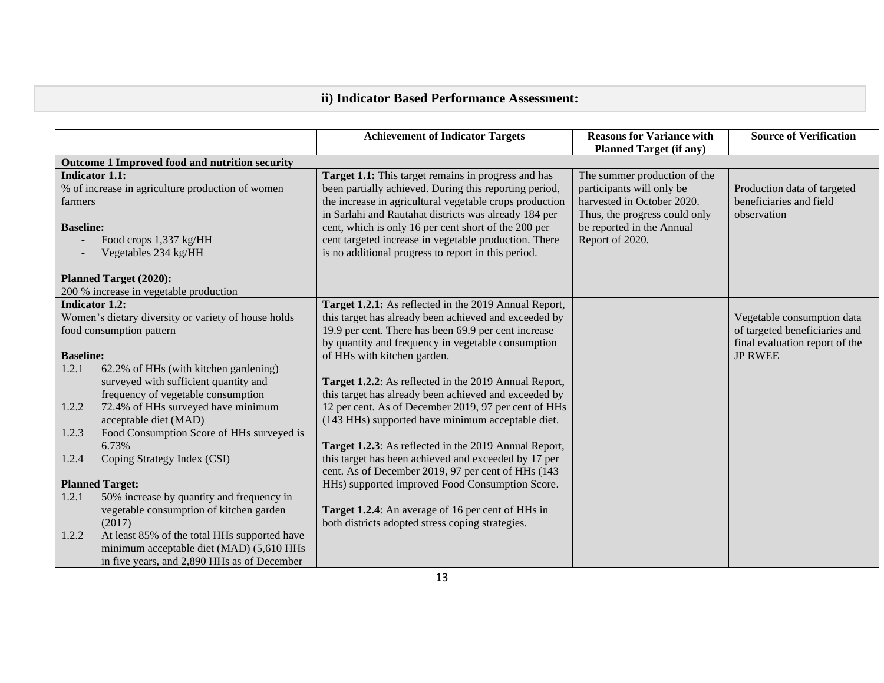# **ii) Indicator Based Performance Assessment:**

|                       |                                                     | <b>Achievement of Indicator Targets</b>                 | <b>Reasons for Variance with</b><br><b>Planned Target (if any)</b> | <b>Source of Verification</b>  |
|-----------------------|-----------------------------------------------------|---------------------------------------------------------|--------------------------------------------------------------------|--------------------------------|
|                       | Outcome 1 Improved food and nutrition security      |                                                         |                                                                    |                                |
| <b>Indicator 1.1:</b> |                                                     | Target 1.1: This target remains in progress and has     | The summer production of the                                       |                                |
|                       | % of increase in agriculture production of women    | been partially achieved. During this reporting period,  | participants will only be                                          | Production data of targeted    |
| farmers               |                                                     | the increase in agricultural vegetable crops production | harvested in October 2020.                                         | beneficiaries and field        |
|                       |                                                     | in Sarlahi and Rautahat districts was already 184 per   | Thus, the progress could only                                      | observation                    |
| <b>Baseline:</b>      |                                                     | cent, which is only 16 per cent short of the 200 per    | be reported in the Annual                                          |                                |
|                       | Food crops 1,337 kg/HH                              | cent targeted increase in vegetable production. There   | Report of 2020.                                                    |                                |
|                       | Vegetables 234 kg/HH                                | is no additional progress to report in this period.     |                                                                    |                                |
|                       |                                                     |                                                         |                                                                    |                                |
|                       | <b>Planned Target (2020):</b>                       |                                                         |                                                                    |                                |
|                       | 200 % increase in vegetable production              |                                                         |                                                                    |                                |
| <b>Indicator 1.2:</b> |                                                     | Target 1.2.1: As reflected in the 2019 Annual Report,   |                                                                    |                                |
|                       | Women's dietary diversity or variety of house holds | this target has already been achieved and exceeded by   |                                                                    | Vegetable consumption data     |
|                       | food consumption pattern                            | 19.9 per cent. There has been 69.9 per cent increase    |                                                                    | of targeted beneficiaries and  |
|                       |                                                     | by quantity and frequency in vegetable consumption      |                                                                    | final evaluation report of the |
| <b>Baseline:</b>      |                                                     | of HHs with kitchen garden.                             |                                                                    | <b>JP RWEE</b>                 |
| 1.2.1                 | 62.2% of HHs (with kitchen gardening)               |                                                         |                                                                    |                                |
|                       | surveyed with sufficient quantity and               | Target 1.2.2: As reflected in the 2019 Annual Report,   |                                                                    |                                |
|                       | frequency of vegetable consumption                  | this target has already been achieved and exceeded by   |                                                                    |                                |
| 1.2.2                 | 72.4% of HHs surveyed have minimum                  | 12 per cent. As of December 2019, 97 per cent of HHs    |                                                                    |                                |
|                       | acceptable diet (MAD)                               | (143 HHs) supported have minimum acceptable diet.       |                                                                    |                                |
| 1.2.3                 | Food Consumption Score of HHs surveyed is           |                                                         |                                                                    |                                |
|                       | 6.73%                                               | Target 1.2.3: As reflected in the 2019 Annual Report,   |                                                                    |                                |
| 1.2.4                 | Coping Strategy Index (CSI)                         | this target has been achieved and exceeded by 17 per    |                                                                    |                                |
|                       |                                                     | cent. As of December 2019, 97 per cent of HHs (143      |                                                                    |                                |
|                       | <b>Planned Target:</b>                              | HHs) supported improved Food Consumption Score.         |                                                                    |                                |
| 1.2.1                 | 50% increase by quantity and frequency in           |                                                         |                                                                    |                                |
|                       | vegetable consumption of kitchen garden             | Target 1.2.4: An average of 16 per cent of HHs in       |                                                                    |                                |
|                       | (2017)                                              | both districts adopted stress coping strategies.        |                                                                    |                                |
| 1.2.2                 | At least 85% of the total HHs supported have        |                                                         |                                                                    |                                |
|                       | minimum acceptable diet (MAD) (5,610 HHs            |                                                         |                                                                    |                                |
|                       | in five years, and 2,890 HHs as of December         |                                                         |                                                                    |                                |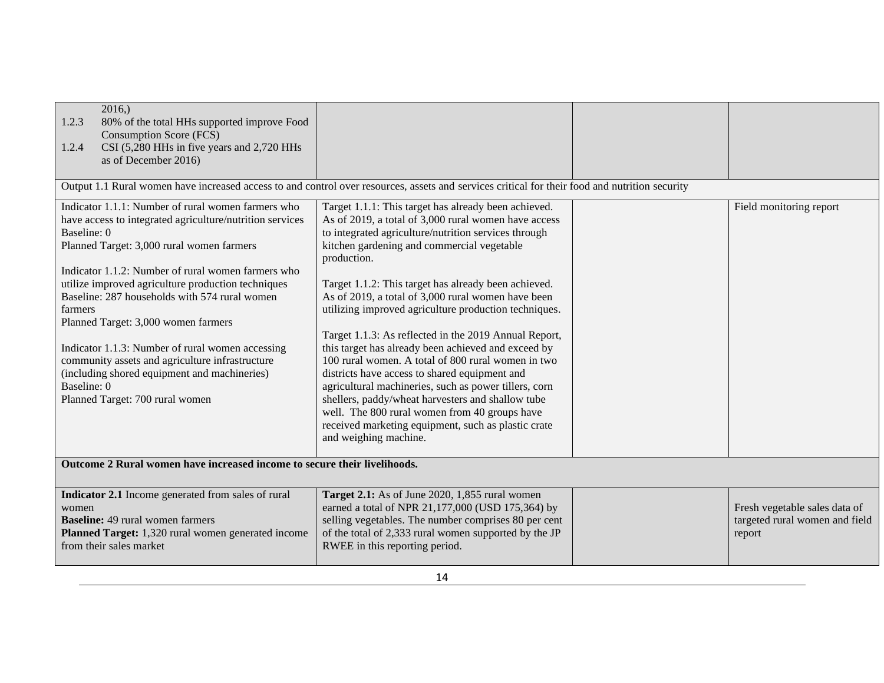| 2016,<br>80% of the total HHs supported improve Food<br>1.2.3<br>Consumption Score (FCS)<br>CSI (5,280 HHs in five years and 2,720 HHs<br>1.2.4<br>as of December 2016)                                                                                                                                                                                                                                                                                                                                                                                                                            |                                                                                                                                                                                                                                                                                                                                                                                                                                                                                                                                                                                                                                                                                                                                                                                                                                                                                |  |                                                                           |
|----------------------------------------------------------------------------------------------------------------------------------------------------------------------------------------------------------------------------------------------------------------------------------------------------------------------------------------------------------------------------------------------------------------------------------------------------------------------------------------------------------------------------------------------------------------------------------------------------|--------------------------------------------------------------------------------------------------------------------------------------------------------------------------------------------------------------------------------------------------------------------------------------------------------------------------------------------------------------------------------------------------------------------------------------------------------------------------------------------------------------------------------------------------------------------------------------------------------------------------------------------------------------------------------------------------------------------------------------------------------------------------------------------------------------------------------------------------------------------------------|--|---------------------------------------------------------------------------|
| Output 1.1 Rural women have increased access to and control over resources, assets and services critical for their food and nutrition security                                                                                                                                                                                                                                                                                                                                                                                                                                                     |                                                                                                                                                                                                                                                                                                                                                                                                                                                                                                                                                                                                                                                                                                                                                                                                                                                                                |  |                                                                           |
| Indicator 1.1.1: Number of rural women farmers who<br>have access to integrated agriculture/nutrition services<br>Baseline: 0<br>Planned Target: 3,000 rural women farmers<br>Indicator 1.1.2: Number of rural women farmers who<br>utilize improved agriculture production techniques<br>Baseline: 287 households with 574 rural women<br>farmers<br>Planned Target: 3,000 women farmers<br>Indicator 1.1.3: Number of rural women accessing<br>community assets and agriculture infrastructure<br>(including shored equipment and machineries)<br>Baseline: 0<br>Planned Target: 700 rural women | Target 1.1.1: This target has already been achieved.<br>As of 2019, a total of 3,000 rural women have access<br>to integrated agriculture/nutrition services through<br>kitchen gardening and commercial vegetable<br>production.<br>Target 1.1.2: This target has already been achieved.<br>As of 2019, a total of 3,000 rural women have been<br>utilizing improved agriculture production techniques.<br>Target 1.1.3: As reflected in the 2019 Annual Report,<br>this target has already been achieved and exceed by<br>100 rural women. A total of 800 rural women in two<br>districts have access to shared equipment and<br>agricultural machineries, such as power tillers, corn<br>shellers, paddy/wheat harvesters and shallow tube<br>well. The 800 rural women from 40 groups have<br>received marketing equipment, such as plastic crate<br>and weighing machine. |  | Field monitoring report                                                   |
| Outcome 2 Rural women have increased income to secure their livelihoods.                                                                                                                                                                                                                                                                                                                                                                                                                                                                                                                           |                                                                                                                                                                                                                                                                                                                                                                                                                                                                                                                                                                                                                                                                                                                                                                                                                                                                                |  |                                                                           |
| Indicator 2.1 Income generated from sales of rural<br>women<br><b>Baseline:</b> 49 rural women farmers<br>Planned Target: 1,320 rural women generated income<br>from their sales market                                                                                                                                                                                                                                                                                                                                                                                                            | Target 2.1: As of June 2020, 1,855 rural women<br>earned a total of NPR 21,177,000 (USD 175,364) by<br>selling vegetables. The number comprises 80 per cent<br>of the total of 2,333 rural women supported by the JP<br>RWEE in this reporting period.                                                                                                                                                                                                                                                                                                                                                                                                                                                                                                                                                                                                                         |  | Fresh vegetable sales data of<br>targeted rural women and field<br>report |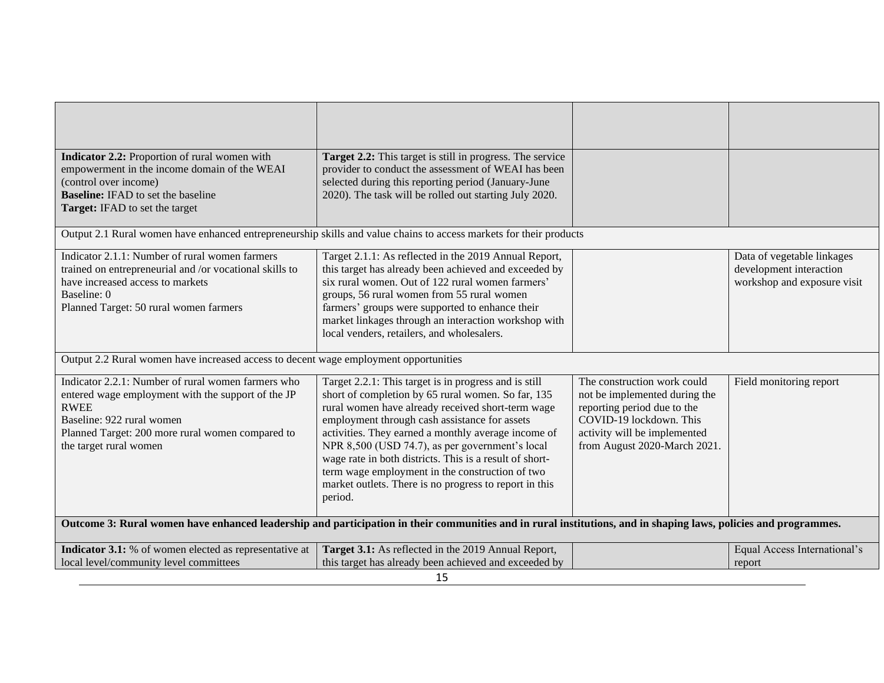| Indicator 2.2: Proportion of rural women with<br>empowerment in the income domain of the WEAI<br>(control over income)<br><b>Baseline:</b> IFAD to set the baseline<br>Target: IFAD to set the target                              | Target 2.2: This target is still in progress. The service<br>provider to conduct the assessment of WEAI has been<br>selected during this reporting period (January-June<br>2020). The task will be rolled out starting July 2020.                                                                                                                                                                                                                                                                              |                                                                                                                                                                                        |                                                                                      |
|------------------------------------------------------------------------------------------------------------------------------------------------------------------------------------------------------------------------------------|----------------------------------------------------------------------------------------------------------------------------------------------------------------------------------------------------------------------------------------------------------------------------------------------------------------------------------------------------------------------------------------------------------------------------------------------------------------------------------------------------------------|----------------------------------------------------------------------------------------------------------------------------------------------------------------------------------------|--------------------------------------------------------------------------------------|
|                                                                                                                                                                                                                                    | Output 2.1 Rural women have enhanced entrepreneurship skills and value chains to access markets for their products                                                                                                                                                                                                                                                                                                                                                                                             |                                                                                                                                                                                        |                                                                                      |
| Indicator 2.1.1: Number of rural women farmers<br>trained on entrepreneurial and /or vocational skills to<br>have increased access to markets<br>Baseline: 0<br>Planned Target: 50 rural women farmers                             | Target 2.1.1: As reflected in the 2019 Annual Report,<br>this target has already been achieved and exceeded by<br>six rural women. Out of 122 rural women farmers'<br>groups, 56 rural women from 55 rural women<br>farmers' groups were supported to enhance their<br>market linkages through an interaction workshop with<br>local venders, retailers, and wholesalers.                                                                                                                                      |                                                                                                                                                                                        | Data of vegetable linkages<br>development interaction<br>workshop and exposure visit |
| Output 2.2 Rural women have increased access to decent wage employment opportunities                                                                                                                                               |                                                                                                                                                                                                                                                                                                                                                                                                                                                                                                                |                                                                                                                                                                                        |                                                                                      |
| Indicator 2.2.1: Number of rural women farmers who<br>entered wage employment with the support of the JP<br><b>RWEE</b><br>Baseline: 922 rural women<br>Planned Target: 200 more rural women compared to<br>the target rural women | Target 2.2.1: This target is in progress and is still<br>short of completion by 65 rural women. So far, 135<br>rural women have already received short-term wage<br>employment through cash assistance for assets<br>activities. They earned a monthly average income of<br>NPR 8,500 (USD 74.7), as per government's local<br>wage rate in both districts. This is a result of short-<br>term wage employment in the construction of two<br>market outlets. There is no progress to report in this<br>period. | The construction work could<br>not be implemented during the<br>reporting period due to the<br>COVID-19 lockdown. This<br>activity will be implemented<br>from August 2020-March 2021. | Field monitoring report                                                              |
| Outcome 3: Rural women have enhanced leadership and participation in their communities and in rural institutions, and in shaping laws, policies and programmes.                                                                    |                                                                                                                                                                                                                                                                                                                                                                                                                                                                                                                |                                                                                                                                                                                        |                                                                                      |
| Indicator 3.1: % of women elected as representative at                                                                                                                                                                             | Target 3.1: As reflected in the 2019 Annual Report,                                                                                                                                                                                                                                                                                                                                                                                                                                                            |                                                                                                                                                                                        | Equal Access International's                                                         |
| local level/community level committees                                                                                                                                                                                             | this target has already been achieved and exceeded by<br>15                                                                                                                                                                                                                                                                                                                                                                                                                                                    |                                                                                                                                                                                        | report                                                                               |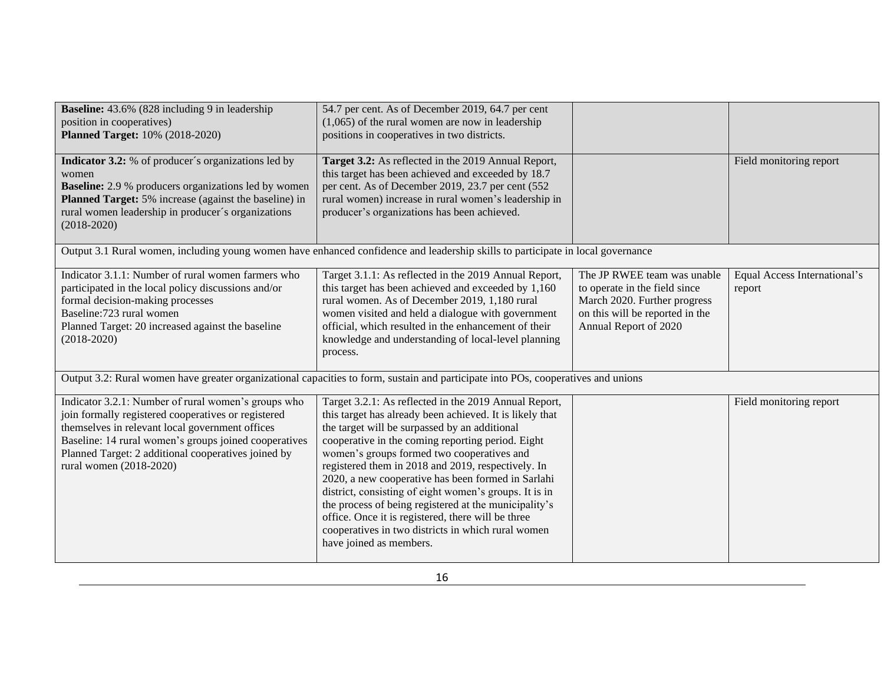| <b>Baseline:</b> 43.6% (828 including 9 in leadership)<br>position in cooperatives)<br><b>Planned Target:</b> 10% (2018-2020)                                                                                                                                                                            | 54.7 per cent. As of December 2019, 64.7 per cent<br>$(1,065)$ of the rural women are now in leadership<br>positions in cooperatives in two districts.                                                                                                                                                                                                                                                                                                                                                                                                                                                                                      |                                                                                                                                                          |                                        |
|----------------------------------------------------------------------------------------------------------------------------------------------------------------------------------------------------------------------------------------------------------------------------------------------------------|---------------------------------------------------------------------------------------------------------------------------------------------------------------------------------------------------------------------------------------------------------------------------------------------------------------------------------------------------------------------------------------------------------------------------------------------------------------------------------------------------------------------------------------------------------------------------------------------------------------------------------------------|----------------------------------------------------------------------------------------------------------------------------------------------------------|----------------------------------------|
| <b>Indicator 3.2:</b> % of producer's organizations led by<br>women<br><b>Baseline:</b> 2.9 % producers organizations led by women<br><b>Planned Target:</b> 5% increase (against the baseline) in<br>rural women leadership in producer's organizations<br>$(2018-2020)$                                | Target 3.2: As reflected in the 2019 Annual Report,<br>this target has been achieved and exceeded by 18.7<br>per cent. As of December 2019, 23.7 per cent (552<br>rural women) increase in rural women's leadership in<br>producer's organizations has been achieved.                                                                                                                                                                                                                                                                                                                                                                       |                                                                                                                                                          | Field monitoring report                |
|                                                                                                                                                                                                                                                                                                          | Output 3.1 Rural women, including young women have enhanced confidence and leadership skills to participate in local governance                                                                                                                                                                                                                                                                                                                                                                                                                                                                                                             |                                                                                                                                                          |                                        |
| Indicator 3.1.1: Number of rural women farmers who<br>participated in the local policy discussions and/or<br>formal decision-making processes<br>Baseline: 723 rural women<br>Planned Target: 20 increased against the baseline<br>$(2018-2020)$                                                         | Target 3.1.1: As reflected in the 2019 Annual Report,<br>this target has been achieved and exceeded by 1,160<br>rural women. As of December 2019, 1,180 rural<br>women visited and held a dialogue with government<br>official, which resulted in the enhancement of their<br>knowledge and understanding of local-level planning<br>process.                                                                                                                                                                                                                                                                                               | The JP RWEE team was unable<br>to operate in the field since<br>March 2020. Further progress<br>on this will be reported in the<br>Annual Report of 2020 | Equal Access International's<br>report |
|                                                                                                                                                                                                                                                                                                          | Output 3.2: Rural women have greater organizational capacities to form, sustain and participate into POs, cooperatives and unions                                                                                                                                                                                                                                                                                                                                                                                                                                                                                                           |                                                                                                                                                          |                                        |
| Indicator 3.2.1: Number of rural women's groups who<br>join formally registered cooperatives or registered<br>themselves in relevant local government offices<br>Baseline: 14 rural women's groups joined cooperatives<br>Planned Target: 2 additional cooperatives joined by<br>rural women (2018-2020) | Target 3.2.1: As reflected in the 2019 Annual Report,<br>this target has already been achieved. It is likely that<br>the target will be surpassed by an additional<br>cooperative in the coming reporting period. Eight<br>women's groups formed two cooperatives and<br>registered them in 2018 and 2019, respectively. In<br>2020, a new cooperative has been formed in Sarlahi<br>district, consisting of eight women's groups. It is in<br>the process of being registered at the municipality's<br>office. Once it is registered, there will be three<br>cooperatives in two districts in which rural women<br>have joined as members. |                                                                                                                                                          | Field monitoring report                |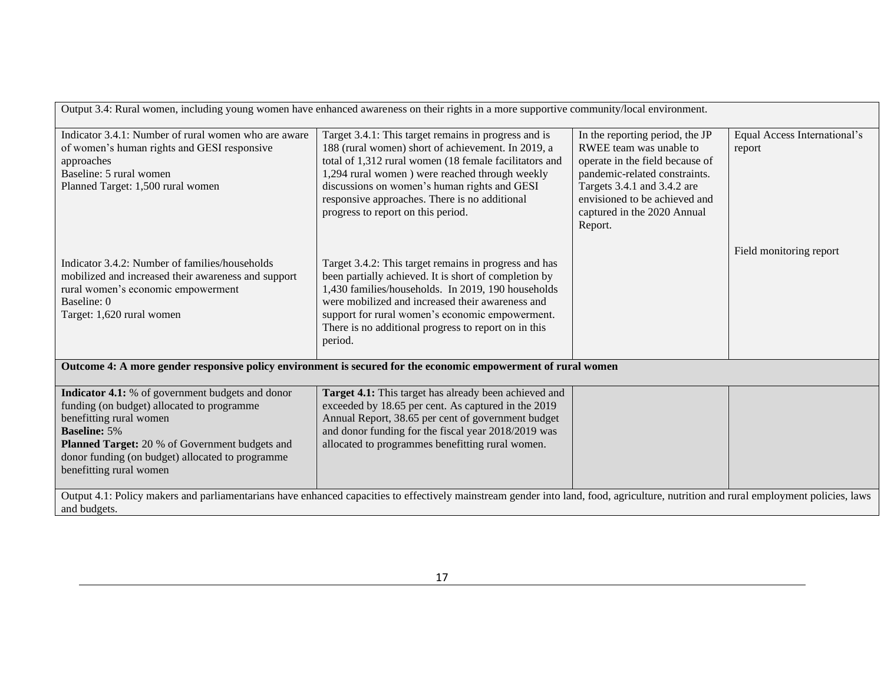| Output 3.4: Rural women, including young women have enhanced awareness on their rights in a more supportive community/local environment.                                                                                                                                                 |                                                                                                                                                                                                                                                                                                                                                                |                                                                                                                                                                                                                                          |                                        |
|------------------------------------------------------------------------------------------------------------------------------------------------------------------------------------------------------------------------------------------------------------------------------------------|----------------------------------------------------------------------------------------------------------------------------------------------------------------------------------------------------------------------------------------------------------------------------------------------------------------------------------------------------------------|------------------------------------------------------------------------------------------------------------------------------------------------------------------------------------------------------------------------------------------|----------------------------------------|
| Indicator 3.4.1: Number of rural women who are aware<br>of women's human rights and GESI responsive<br>approaches<br>Baseline: 5 rural women<br>Planned Target: 1,500 rural women                                                                                                        | Target 3.4.1: This target remains in progress and is<br>188 (rural women) short of achievement. In 2019, a<br>total of 1,312 rural women (18 female facilitators and<br>1,294 rural women ) were reached through weekly<br>discussions on women's human rights and GESI<br>responsive approaches. There is no additional<br>progress to report on this period. | In the reporting period, the JP<br>RWEE team was unable to<br>operate in the field because of<br>pandemic-related constraints.<br>Targets 3.4.1 and 3.4.2 are<br>envisioned to be achieved and<br>captured in the 2020 Annual<br>Report. | Equal Access International's<br>report |
| Indicator 3.4.2: Number of families/households<br>mobilized and increased their awareness and support<br>rural women's economic empowerment<br>Baseline: 0<br>Target: 1,620 rural women                                                                                                  | Target 3.4.2: This target remains in progress and has<br>been partially achieved. It is short of completion by<br>1,430 families/households. In 2019, 190 households<br>were mobilized and increased their awareness and<br>support for rural women's economic empowerment.<br>There is no additional progress to report on in this<br>period.                 |                                                                                                                                                                                                                                          | Field monitoring report                |
| Outcome 4: A more gender responsive policy environment is secured for the economic empowerment of rural women                                                                                                                                                                            |                                                                                                                                                                                                                                                                                                                                                                |                                                                                                                                                                                                                                          |                                        |
| Indicator 4.1: % of government budgets and donor<br>funding (on budget) allocated to programme<br>benefitting rural women<br><b>Baseline: 5%</b><br><b>Planned Target:</b> 20 % of Government budgets and<br>donor funding (on budget) allocated to programme<br>benefitting rural women | Target 4.1: This target has already been achieved and<br>exceeded by 18.65 per cent. As captured in the 2019<br>Annual Report, 38.65 per cent of government budget<br>and donor funding for the fiscal year 2018/2019 was<br>allocated to programmes benefitting rural women.                                                                                  |                                                                                                                                                                                                                                          |                                        |
| Output 4.1: Policy makers and parliamentarians have enhanced capacities to effectively mainstream gender into land, food, agriculture, nutrition and rural employment policies, laws<br>and budgets.                                                                                     |                                                                                                                                                                                                                                                                                                                                                                |                                                                                                                                                                                                                                          |                                        |